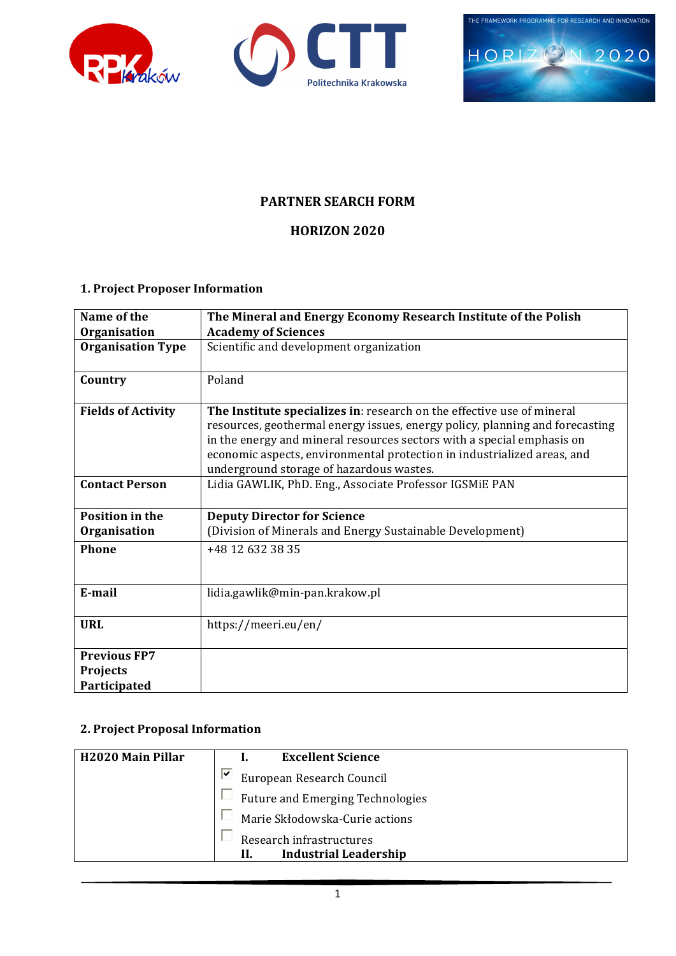





# **PARTNER SEARCH FORM**

# **HORIZON 2020**

# **1. Project Proposer Information**

| Name of the               | The Mineral and Energy Economy Research Institute of the Polish                                                                                                                                                                                                                                                                                         |  |
|---------------------------|---------------------------------------------------------------------------------------------------------------------------------------------------------------------------------------------------------------------------------------------------------------------------------------------------------------------------------------------------------|--|
| Organisation              | <b>Academy of Sciences</b>                                                                                                                                                                                                                                                                                                                              |  |
| <b>Organisation Type</b>  | Scientific and development organization                                                                                                                                                                                                                                                                                                                 |  |
| Country                   | Poland                                                                                                                                                                                                                                                                                                                                                  |  |
| <b>Fields of Activity</b> | The Institute specializes in: research on the effective use of mineral<br>resources, geothermal energy issues, energy policy, planning and forecasting<br>in the energy and mineral resources sectors with a special emphasis on<br>economic aspects, environmental protection in industrialized areas, and<br>underground storage of hazardous wastes. |  |
| <b>Contact Person</b>     | Lidia GAWLIK, PhD. Eng., Associate Professor IGSMiE PAN                                                                                                                                                                                                                                                                                                 |  |
| <b>Position in the</b>    | <b>Deputy Director for Science</b>                                                                                                                                                                                                                                                                                                                      |  |
| Organisation              | (Division of Minerals and Energy Sustainable Development)                                                                                                                                                                                                                                                                                               |  |
| Phone                     | +48 12 632 38 35                                                                                                                                                                                                                                                                                                                                        |  |
| E-mail                    | lidia.gawlik@min-pan.krakow.pl                                                                                                                                                                                                                                                                                                                          |  |
| <b>URL</b>                | https://meeri.eu/en/                                                                                                                                                                                                                                                                                                                                    |  |
| <b>Previous FP7</b>       |                                                                                                                                                                                                                                                                                                                                                         |  |
| Projects                  |                                                                                                                                                                                                                                                                                                                                                         |  |
| Participated              |                                                                                                                                                                                                                                                                                                                                                         |  |

### **2. Project Proposal Information**

| <b>H2020 Main Pillar</b> | <b>Excellent Science</b>                                        |  |
|--------------------------|-----------------------------------------------------------------|--|
|                          | ⊵<br>European Research Council                                  |  |
|                          | <b>Future and Emerging Technologies</b>                         |  |
|                          | Marie Skłodowska-Curie actions                                  |  |
|                          | Research infrastructures<br><b>Industrial Leadership</b><br>II. |  |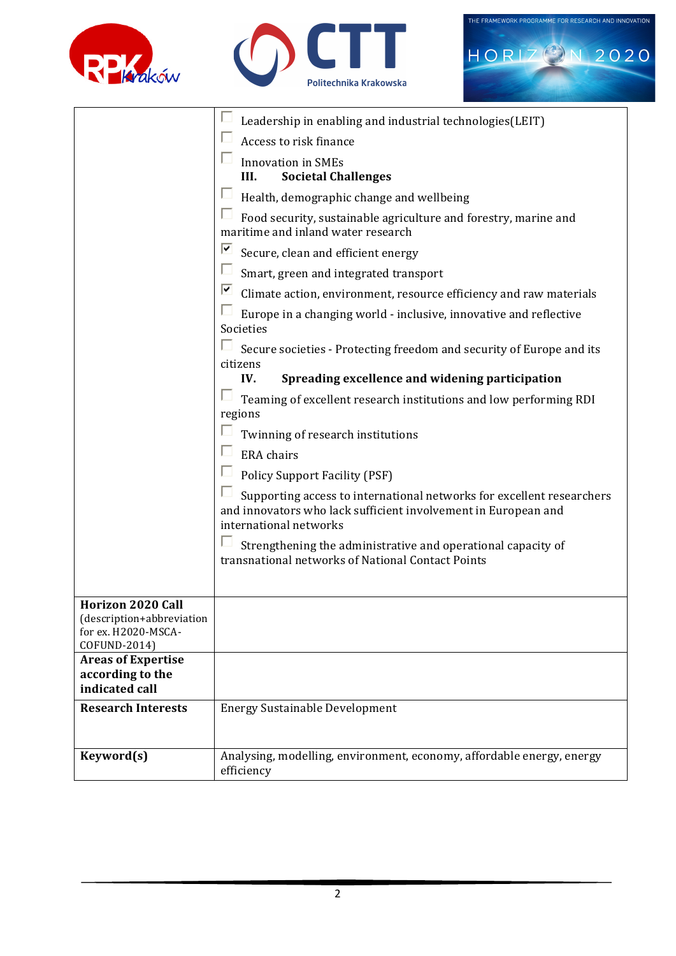





|                                                                  | Leadership in enabling and industrial technologies (LEIT)                                                                                                         |  |
|------------------------------------------------------------------|-------------------------------------------------------------------------------------------------------------------------------------------------------------------|--|
|                                                                  | Access to risk finance                                                                                                                                            |  |
|                                                                  | <b>Innovation</b> in SMEs                                                                                                                                         |  |
|                                                                  | <b>Societal Challenges</b><br>III.                                                                                                                                |  |
|                                                                  | Health, demographic change and wellbeing                                                                                                                          |  |
|                                                                  | Food security, sustainable agriculture and forestry, marine and<br>maritime and inland water research                                                             |  |
|                                                                  | ⊽<br>Secure, clean and efficient energy                                                                                                                           |  |
|                                                                  | П<br>Smart, green and integrated transport                                                                                                                        |  |
|                                                                  | ☑<br>Climate action, environment, resource efficiency and raw materials                                                                                           |  |
|                                                                  | Europe in a changing world - inclusive, innovative and reflective<br>Societies                                                                                    |  |
|                                                                  | Secure societies - Protecting freedom and security of Europe and its<br>citizens                                                                                  |  |
|                                                                  | Spreading excellence and widening participation<br>IV.                                                                                                            |  |
|                                                                  | Teaming of excellent research institutions and low performing RDI                                                                                                 |  |
|                                                                  | regions                                                                                                                                                           |  |
|                                                                  | Twinning of research institutions<br>□                                                                                                                            |  |
|                                                                  | <b>ERA</b> chairs                                                                                                                                                 |  |
|                                                                  | <b>Policy Support Facility (PSF)</b>                                                                                                                              |  |
|                                                                  | Supporting access to international networks for excellent researchers<br>and innovators who lack sufficient involvement in European and<br>international networks |  |
|                                                                  | Strengthening the administrative and operational capacity of                                                                                                      |  |
|                                                                  | transnational networks of National Contact Points                                                                                                                 |  |
|                                                                  |                                                                                                                                                                   |  |
| <b>Horizon 2020 Call</b>                                         |                                                                                                                                                                   |  |
| (description+abbreviation<br>for ex. H2020-MSCA-<br>COFUND-2014) |                                                                                                                                                                   |  |
| <b>Areas of Expertise</b>                                        |                                                                                                                                                                   |  |
| according to the<br>indicated call                               |                                                                                                                                                                   |  |
| <b>Research Interests</b>                                        | <b>Energy Sustainable Development</b>                                                                                                                             |  |
|                                                                  |                                                                                                                                                                   |  |
| Keyword(s)                                                       | Analysing, modelling, environment, economy, affordable energy, energy                                                                                             |  |
|                                                                  | efficiency                                                                                                                                                        |  |